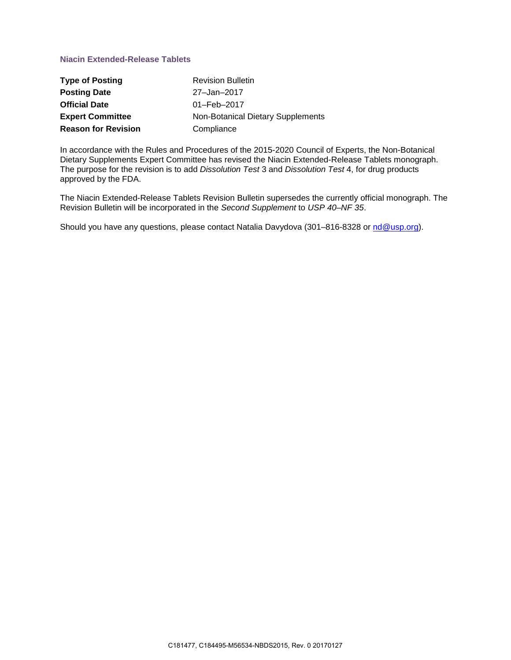# **Niacin Extended-Release Tablets**

| <b>Type of Posting</b>     | <b>Revision Bulletin</b>          |
|----------------------------|-----------------------------------|
| <b>Posting Date</b>        | 27-Jan-2017                       |
| <b>Official Date</b>       | $01 - \text{Feb} - 2017$          |
| <b>Expert Committee</b>    | Non-Botanical Dietary Supplements |
| <b>Reason for Revision</b> | Compliance                        |

In accordance with the Rules and Procedures of the 2015-2020 Council of Experts, the Non-Botanical Dietary Supplements Expert Committee has revised the Niacin Extended-Release Tablets monograph. The purpose for the revision is to add *Dissolution Test* 3 and *Dissolution Test* 4, for drug products approved by the FDA.

The Niacin Extended-Release Tablets Revision Bulletin supersedes the currently official monograph. The Revision Bulletin will be incorporated in the *Second Supplement* to *USP 40–NF 35*.

Should you have any questions, please contact Natalia Davydova (301–816-8328 or [nd@usp.org\)](mailto:nd@usp.org).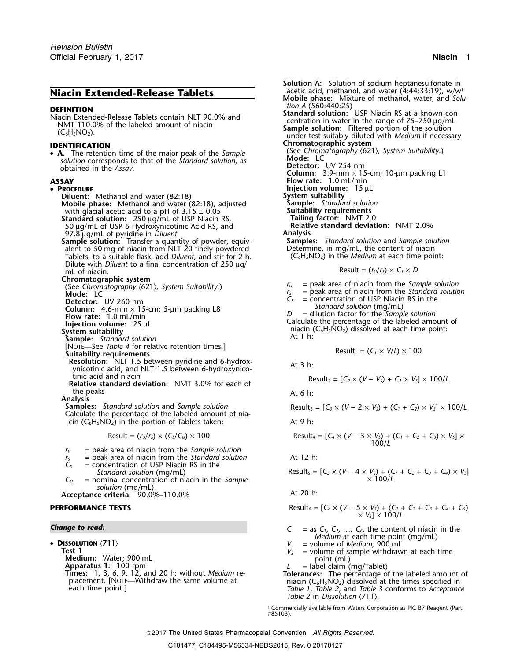# **Niacin Extended-Release Tablets** .

**s** in the corresponds to that of the *Standard solution*, as **Mode:** LC obtained in the *Assay* obtained in the Assay.

### • PROCEDURE

**Diluent:** Methanol and water (82:18) **System suitability**<br>**Mobile phase:** Methanol and water (82:18), adjusted **Sample:** Standard solution **Mobile phase:** Methanol and water (82:18), adjusted **Sample:** *Standard solutionial solutionial solutionial Suitability requirements* with glacial acetic acid to a pH of 3.15  $\pm$  0.05 with glacial acetic acid to a pH of 3.15 ± 0.05 **Suitability requirements**<br> **Standard solution:** 250 ug/mL of USP Niacin RS. **Standard factor:** NMT 2.0 **Standard solution:**<sup>250</sup> <sup>µ</sup>g/mL of USP Niacin RS, **Tailing factor:** NMT 2.0

97.8 <sup>µ</sup>g/mL of pyridine in *Diluent* **Analysis**

**Sample solution:** Transfer a quantity of powder, equiv- **Samples:** *Standard solution* and *Sample solution* alent to 50 mg of niacin from NLT 20 finely powdered Determine, in mg/mL, the content of niacin Tablets, to a suitable flask, add *Diluent*, and stir for 2 h. (C<sub>6</sub>H<sub>5</sub>NO<sub>2</sub>) in the *Medium* at each time point: Dilute with *Diluent* to a final concentration of 250 µg/ mL of niacin.  $ResU = \int r_0 / r_s \times C_s \times D$ 

Sample: Standard solution<br>[NOTE—See *Table 4* for relative retention times.]<br>Suitability requirements

**Resolution:** NLT 1.5 between pyridine and 6-hydrox-<br>At 3 h: ynicotinic acid, and NLT 1.5 between 6-hydroxynico-

tinic acid and niacin Result<sup>2</sup> = [*C<sup>2</sup>* <sup>×</sup> (*<sup>V</sup>* <sup>−</sup> *<sup>V</sup>S*) + *C<sup>1</sup>* <sup>×</sup> *<sup>V</sup>S*] × 100/*<sup>L</sup>* **Relative standard deviation:** NMT 3.0% for each of the peaks and the peaks are the peaks at 6 h:

**Analysis**

*Samples: Standard solution and Sample solution* Calculate the percentage of the labeled amount of niacin  $(C_6H_5NO_2)$  in the portion of Tablets taken: At 9 h:

$$
Result = (r_U/r_S) \times (C_S/C_U) \times 100
$$

- *<sup>r</sup><sup>U</sup>* = peak area of niacin from the *Sample solution*
- $r<sub>S</sub>$  = peak area of niacin from the *Standard solution* At 12 h:
- *C<sup>S</sup>* = concentration of USP Niacin RS in the  $Standard$ *solution* (*mg/mL*)
- $C_U$  = nominal concentration of niacin in the *Sample solution* (mg/mL)
- Acceptance criteria: 90.0%–110.0%

### $P$ **ERFORMANCE TESTS**

### *Change to read:*

•

**Test 1**<br> **Medium:** Water; 900 mL<br> **Medium:** Water; 900 mL<br> **Apparatus 1:** 100 rpm<br> **Colomic Medium re-**<br> **Colomic C<sub>6</sub>H<sub>5</sub>NO<sub>2</sub>) dissolved at the labeled amount of<br>
placement. [NOTE—Withdraw the same volume at<br>
placement** 

- 
- **Solution A:** Solution of sodium heptanesulfonate in acetic acid, methanol, and water  $(4:44:33:19)$ , w/w<sup>1</sup> **Mobile phase:** Mixture of methanol, water, and *Solu-***DEFINITION**<br>
Miacin Extended-Release Tablets contain NLT 90.0% and<br>
MIT 110.0% of the labeled amount of niacin<br>
(C<sub>6</sub>H<sub>5</sub>NO<sub>2</sub>).<br>
C<sub>6</sub>H<sub>5</sub>NO<sub>2</sub>).<br>
C<sub>6</sub>H<sub>5</sub>NO<sub>2</sub>).<br>
C<sub>6</sub>H<sub>5</sub>NO<sub>2</sub>).<br>
C<sub>6</sub>H<sub>5</sub>NO<sub>2</sub>). **IDENTIFICATION**<br>• **A** The retention time of the major peak of the *Sample* (See Chromatography  $\langle 621 \rangle$ , System Suitability.) (See *Chromatography* 〈621〉*, System Suitability*.) • **A.** The retention time of the major peak of the *Sample* **Column:** 3.9-mm  $\times$  15-cm; 10-µm packing L1 **ASSAY Flow rate:** 1.0 mL/min **PRoof Injection volume:** 15 µL **System suitability** <sup>50</sup> <sup>µ</sup>g/mL of USP 6-Hydroxynicotinic Acid RS, and **Relative standard deviation:** NMT 2.0% **Chromatographic system**<br>
(See *Chromatography*  $\langle 621 \rangle$ , *System Suitability*.)<br> **Computer**  $r_y$  = peak area of niacin from the *Standard solution*<br> **Mode:** LC  $r<sub>S</sub>$  = peak area of niacin from the *Standard solution*  $C<sub>S</sub>$  = concentration of USP Niacin RS in the
	- **Detector:** UV 260 nm<br> **Detector:** UV 260 nm<br> **C**<sub>S</sub> = concentration of USP Niacin RS in the Standard solution (mg/mL)

**Column:** 4.6-mm × 15-cm; 5-µm packing L8<br>
Flow rate: 1.0 mL/min<br>
Injection volume: 25 µL<br>
System suitability<br>
System suitability<br>
System suitability<br>
System suitability<br>
System suitablished amount of<br>
System suitablished

$$
Result_1 = (C_1 \times V/L) \times 100
$$

$$
Result_2 = [C_2 \times (V - V_s) + C_1 \times V_s] \times 100/L
$$

Result<sub>3</sub> = 
$$
[C_3 \times (V - 2 \times V_5) + (C_1 + C_2) \times V_5] \times 100/L
$$

Result = 
$$
(r_0/r_s) \times (C_s/C_0) \times 100
$$
  
Result =  $[C_4 \times (V - 3 \times V_s) + (C_1 + C_2 + C_3) \times V_s] \times 100/L$ 

$$
Result_5 = [C_5 \times (V - 4 \times V_5) + (C_1 + C_2 + C_3 + C_4) \times V_5]
$$
  
× 100/L

$$
Result_6 = [C_6 \times (V - 5 \times V_5) + (C_1 + C_2 + C_3 + C_4 + C_5) \times V_5] \times 100/L
$$

| Change to read:       | \n $C = \text{as } C_1, C_2, \ldots, C_6$ , the content of niacin in the <i>Medium</i> at each time point (mg/mL)\n |
|-----------------------|---------------------------------------------------------------------------------------------------------------------|
| DiscussionATION (711) | \n $V = \text{volume of Medium, 900 mL}$ \n                                                                         |

- 
- 

placement. [NOTE—Withdraw the same volume at niacin (C<sub>6</sub>H<sub>5</sub>NO<sub>2</sub>) dissolved at the times specified in each time point.]<br>*Table 1*, *Table 2*, and *Table 3* conforms to *Acceptance Table 2* in *Dissolution* 〈711〉.

> 1. Commercially available from Waters Corporation as PIC B7 Reagent (Part #85103).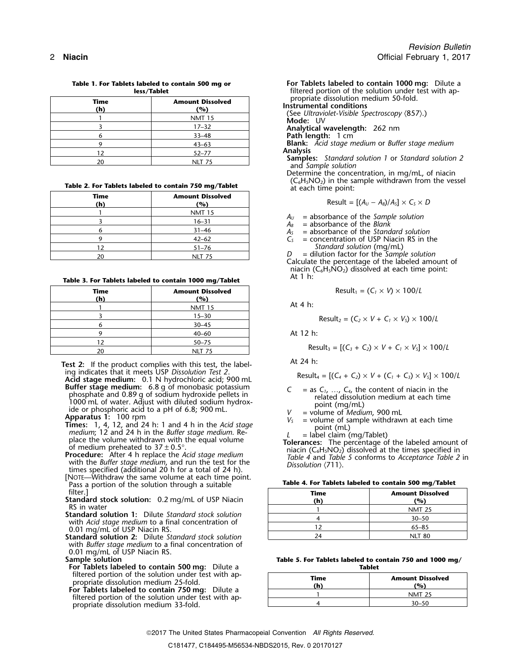|                                               | less/lablet   | Therea portion of the solution u                           |
|-----------------------------------------------|---------------|------------------------------------------------------------|
| Time<br><b>Amount Dissolved</b><br>(h)<br>(%) |               | propriate dissolution medium 50<br>Instrumental conditions |
|                                               | <b>NMT 15</b> | (See Ultraviolet-Visible Spectroscop)<br>Mode: UV          |
|                                               | $17 - 32$     | Analytical wavelength: 262 nm                              |
|                                               | $33 - 48$     | Path length: 1 cm                                          |
|                                               | $43 - 63$     | <b>Blank:</b> Acid stage medium or Bufi                    |
|                                               | $52 - 77$     | <b>Analysis</b>                                            |
|                                               | <b>NLT 75</b> | <b>Samples:</b> Standard solution 1 or                     |

## Table 2. For Tablets labeled to contain 750 mg/Tablet at each time point:

| Time<br>(h) | <b>Amount Dissolved</b><br>(%) | Result = $[(A_U - A_B)/A_S] \times C_S \times D$                                                                                                              |
|-------------|--------------------------------|---------------------------------------------------------------------------------------------------------------------------------------------------------------|
|             | <b>NMT 15</b>                  | $=$ absorbance of the Sample solution<br>$A_{\scriptscriptstyle II}$                                                                                          |
|             | $16 - 31$                      | $A_R$ = absorbance of the Blank                                                                                                                               |
|             | $31 - 46$                      | $=$ absorbance of the Standard solution                                                                                                                       |
|             | $42 - 62$                      | $=$ concentration of USP Niacin RS in t                                                                                                                       |
|             | $51 - 76$                      | Standard solution (mg/mL)                                                                                                                                     |
| 20          | <b>NLT 75</b>                  | $=$ dilution factor for the Sample solution<br>kasta da mata ka mata sa shekarar 1990 a ta 1990 a ta 1990 a ta 1990 a ta 1990 a ta 1990 a ta 1990 a ta 1990 a |

### Table 3. For Tablets labeled to contain 1000 mg/Tablet

| Result <sub>1</sub> = $(C_1 \times V) \times 100/L$                          | <b>Amount Dissolved</b><br>(%) | Time<br>(h) |
|------------------------------------------------------------------------------|--------------------------------|-------------|
| At 4 $h$ :                                                                   | <b>NMT 15</b>                  |             |
| Result <sub>2</sub> = $(C_2 \times V + C_1 \times V_s) \times 100/L$         | $15 - 30$                      |             |
|                                                                              | $30 - 45$                      |             |
| At 12 h:                                                                     | $40 - 60$                      |             |
|                                                                              | $50 - 75$                      |             |
| Result <sub>3</sub> = $[(C_3 + C_2) \times V + C_1 \times V_5] \times 100/L$ | NLT 75                         | 20          |

**Test 2:** If the product complies with this test, the label-<br>ing indicates that it meets USP Dissolution Test 2.

Acid stage medium: 0.1 N hydrochloric acid; 900 mL<br>Buffer stage medium: 6.8 g of monobasic potassium **Buffer stage medium:** 6.8 g of monobasic potassium<br>
1000 mL of water. Adjust with diluted sodium hydroxide pellets in<br>
1000 mL of water. Adjust with diluted sodium hydrox-<br>
ide or phosphoric acid to a pH of 6.8; 900 mL.<br>

- 
- with the *Buffer stage medium*, and run the test for the times specified (additional 20 h for a total of 24 h).<br>[NOTE—Withdraw the same volume at each time point. Pass a portion of the solution through a suitable filter.]
- 

- **Standard solution 1:** Dilute *Standard stock solution* with *Acid stage medium* to a final concentration of 0.01 mg/mL of USP Niacin RS.
- **Standard solution 2:** Dilute Standard stock solution with *Buffer stage medium* to a final concentration of 0.01 mg/mL of USP Niacin RS.<br>Sample solution

- **For Tablets labeled to contain 500 mg:** Dilute a filtered portion of the solution under test with appropriate dissolution medium 25-fold.
- **For Tablets labeled to contain 750 mg:** Dilute a 1 For Tablets labeled to contain 750 mg: Dilute a propriate dissolution medium 33-fold.

**Table 1. For Tablets labeled to contain 500 mg or For Tablets labeled to contain 1000 mg:** Dilute a filtered portion of the solution under test with ap-<br>propriate dissolution medium 50-fold.

**Instrumental conditions**<br>
(See Ultraviolet-Visible Spectroscopy  $\langle 857 \rangle$ .)<br> **Mode:** UV

<sup>9</sup> 43–63 **Blank:** *Acid stage medium* or *Buffer stage medium*

**Samples:** *Standard solution 1* or *Standard solution 2* and *Sample solution* 

Determine the concentration, in mg/mL, of niacin  $(C_6H_5NO_2)$  in the sample withdrawn from the vessel

$$
Result = [(A_U - A_B)/A_S] \times C_S \times D
$$

- $A<sub>S</sub>$  = absorbance of the *Standard solution*
- $C<sub>S</sub>$  = concentration of USP Niacin RS in the <sup>1</sup>/<sub>2</sub> Standard solution (mg/mL)<br>
<sup>D</sup> = dilution factor for the Sample solution

Calculate the percentage of the labeled amount of niacin ( $C_6H_5NO_2$ ) dissolved at each time point:<br>At 1 h:

$$
Result_1 = (C_1 \times V) \times 100/L
$$

$$
Result_2 = (C_2 \times V + C_1 \times V_S) \times 100/L
$$

$$
Result_3 = [(C_3 + C_2) \times V + C_1 \times V_5] \times 100/L
$$

Result<sub>4</sub> = 
$$
[(C_4 + C_2) \times V + (C_1 + C_3) \times V_5] \times 100/L
$$

- 
- 
- 

|  |  |  |  |  |  | Table 4. For Tablets labeled to contain 500 mg/Tablet |  |  |  |  |
|--|--|--|--|--|--|-------------------------------------------------------|--|--|--|--|
|--|--|--|--|--|--|-------------------------------------------------------|--|--|--|--|

| filter.]<br>tandard stock solution: 0.2 mg/mL of USP Niacin                        | Time<br>(h) | <b>Amount Dissolved</b><br>(%) |
|------------------------------------------------------------------------------------|-------------|--------------------------------|
| RS in water                                                                        |             | <b>NMT 25</b>                  |
| <b>tandard solution 1:</b> Dilute Standard stock solution                          |             | $30 - 50$                      |
| with Acid stage medium to a final concentration of<br>0.01 mg/mL of USP Niacin RS. |             | 65–85                          |
| tandard solution 2: Dilute Standard stock solution                                 | 24          | <b>NLT 80</b>                  |

# Table 5. For Tablets labeled to contain 750 and 1000 mg/<br>Tablet

| Time<br>(h) | <b>Amount Dissolved</b><br>(%) |
|-------------|--------------------------------|
|             | <b>NMT 25</b>                  |
|             |                                |

2017 The United States Pharmacopeial Convention *All Rights Reserved.*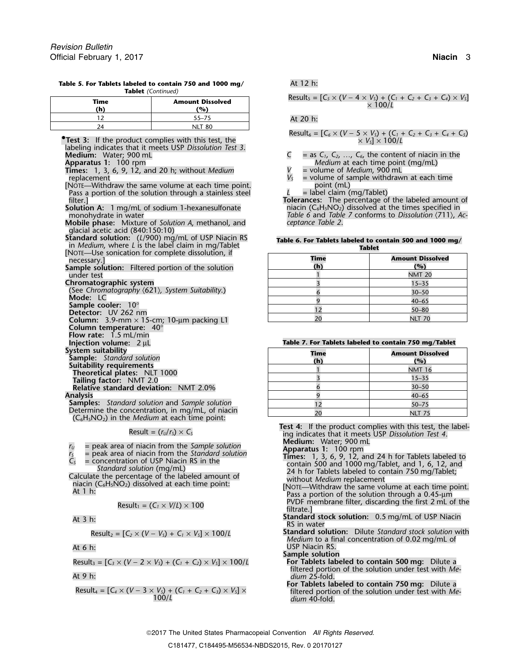| Time<br>(h) | <b>Amount Dissolved</b><br>(%) |
|-------------|--------------------------------|
|             | $55 - 75$                      |
|             | NII T<br>80                    |

**Table 5. For Tablets labeled to contain 750 and 1000 mg/** At 12 h: **Tablet** *(Continued)*

labeling indicates that it meets USP *Dissolution Test 3*.

**Times:** 1, 3, 6, 9, 12, and 20 h; without *Medium*  $V_s$  =  $V_s$ 

[NOTE—Withdraw the same volume at each time point. point (mL) Pass a portion of the solution through a stainless steel *filter*.

**Mobile phase:** Mixture of *Solution A*, methanol, and *ceptance Table 2*. glacial acetic acid (840:150:10)

**Standard solution:**  $(L/900)$  mg/mL of USP Niacin RS in *Medium*, where *L* is the label claim in mg/Tablet [NOTE—Use sonication for complete dissolution, if

**Column temperature:** 40° **Flow rate:** 1.5 mL/min

**Injection volume: 2 µL** 

**Samples:** *Standard solution* and *Sample solution* Determine the concentration, in mg/mL, of niacin (C<sub>6</sub>H<sub>5</sub>NO<sub>2</sub>) in the *Medium* at each time point:

$$
Result_1 = (C_1 \times V/L) \times 100
$$

Result<sub>2</sub> = 
$$
[C_2 \times (V - V_s) + C_1 \times V_s] \times 100/L
$$

$$
Result_3 = [C_3 \times (V - 2 \times V_5) + (C_1 + C_2) \times V_5] \times 100/L
$$

 $Result_4 = [C_4 \times (V - 3 \times V_5) + (C_1 + C_2 + C_3) \times V_5] \times 100/L$ 

Result<sub>s</sub> =  $[C_5 \times (V - 4 \times V_5) + (C_1 + C_2 + C_3 + C_4) \times V_5]$ <br>× 100/L

At 20 h:

**Test 3:** If the product complies with this test, the 
$$
Kest
$$
, the  $Kest$ ,  $Kest$ ,  $Kest$ ,  $Kest$ ,  $Kest$ ,  $Kest$ ,  $Kest$ ,  $Kest$ ,  $Kest$ ,  $Kest$ ,  $Kest$ ,  $Kest$ ,  $Kest$ ,  $Kest$ ,  $Kest$ ,  $Kest$ ,  $Kest$ ,  $Kest$ ,  $Kest$ ,  $Kest$ ,  $Kest$ ,  $Kest$ ,  $Kest$ ,  $Kest$ ,  $Kest$ ,  $Kest$ ,  $Kest$ ,  $Kest$ ,  $Kest$ ,  $Kest$ ,  $Kest$ ,  $Kest$ ,  $Kest$ ,  $Kest$ ,  $Kest$ ,  $Kest$ ,  $Kest$ ,  $Kest$ ,  $Kest$ ,  $Kest$ ,  $Kest$ ,  $Kest$ ,  $Kest$ ,  $Kest$ ,  $Kest$ ,  $Kest$ ,  $Kest$ ,  $Kest$ ,  $Kest$ ,  $Kest$ ,  $Kest$ ,  $Kest$ ,  $Kest$ ,  $Kest$ ,  $Kest$ ,  $Kest$ ,  $Kest$ ,  $Kest$ ,  $Kest$ ,  $Kest$ ,  $Kest$ ,  $Kest$ ,  $Kest$ ,  $Kest$ ,  $Kest$ ,  $Kest$ ,  $Kest$ 

- $\mathbf{C}$  = as  $\mathbf{C}_1$ ,  $\mathbf{C}_2$ , …,  $\mathbf{C}_6$ , the content of niacin in the Apparatus 1: 100 rpm<br>**Times:** 1, 3, 6, 9, 12, and 20 h; without *Medium* **11 below at the volume of** *Medium*, 900 mL
	-
- replacement<br>Note—Withdraw the same volume at each time point.<br>Note—Withdraw the same volume at each time point.<br>point (mL)
	-

Tolerances: The percentage of the labeled amount of **Solution A:** 1 mg/mL of sodium 1-hexanesulfonate niacin (C<sub>6</sub>H<sub>5</sub>NO<sub>2</sub>) dissolved at the times specified in number nonohydrate in water niacin (711), Acmonohydrate in water *Table 6* and *Table 7* conforms to *Dissolution* 〈711〉, *Ac-*

|  |  | Table 6. For Tablets labeled to contain 500 and 1000 mg/ |  |  |
|--|--|----------------------------------------------------------|--|--|
|  |  | Tablet                                                   |  |  |

| NOTE—Use sonication for complete dissolution, if<br>necessary.]               | <b>Time</b> | <b>Amount Dissolved</b> |
|-------------------------------------------------------------------------------|-------------|-------------------------|
| ample solution: Filtered portion of the solution                              | (h)         | $($ %)                  |
| under test                                                                    |             | <b>NMT 20</b>           |
| hromatographic system                                                         |             | $15 - 35$               |
| (See Chromatography $(621)$ , System Suitability.)                            |             | $30 - 50$               |
| Mode: LC                                                                      |             | $40 - 65$               |
| Sample cooler: $10^{\circ}$                                                   |             | $50 - 80$               |
| Detector: UV 262 nm<br><b>Column:</b> 3.9-mm $\times$ 15-cm; 10-µm packing L1 | 20          | <b>NLT 70</b>           |
|                                                                               |             |                         |

| Table 7. For Tablets labeled to contain 750 mg/Tablet |  |  |  |  |  |
|-------------------------------------------------------|--|--|--|--|--|
|-------------------------------------------------------|--|--|--|--|--|

| System suitability<br><b>Sample:</b> Standard solution                                                    | <b>Time</b><br>(h) | <b>Amount Dissolved</b><br>(%) |
|-----------------------------------------------------------------------------------------------------------|--------------------|--------------------------------|
| Suitability requirements                                                                                  |                    | <b>NMT 16</b>                  |
| <b>Theoretical plates: NLT 1000</b><br>Tailing factor: NMT 2.0                                            |                    | $15 - 35$                      |
| <b>Relative standard deviation: NMT 2.0%</b>                                                              |                    | $30 - 50$                      |
| Analysis                                                                                                  |                    | $40 - 65$                      |
| <b>Samples:</b> Standard solution and Sample solution                                                     |                    | $50 - 75$                      |
| Determine the concentration, in mg/mL, of niacin<br>$(C \cup N)$ in the <i>Medium</i> at each time point. |                    | <b>NLT 75</b>                  |

**Test 4:** If the product complies with this test, the label-<br>
ing indicates that it meets USP *Dissolution Test 4*.<br> **Medium:** Water; 900 mL

- $r_5$  = peak area of niacin from the *Sample solution*<br>  $r_5$  = peak area of niacin from the *Standard solution*<br>  $C_5$  = concentration of USP Niacin RS in the<br> *Standard solution* (mg/mL)<br>
Calculate the percentage of the
	- PVDF membrane filter, discarding the first 2 mL of the filtrate.]
- **Standard stock solution:** 0.5 mg/mL of USP Niacin<br>RS in water
- $R$  **Standard solution:** Dilute Standard stock solution with *Medium* to a final concentration of 0.02 mg/mL of At 6 h: USP Niacin RS.

**Sample solution**

- Result<sup>3</sup> = [*C<sup>3</sup>* <sup>×</sup> (*V* <sup>−</sup> 2 <sup>×</sup> *VS*) + (*C1*<sup>+</sup>*C2*) <sup>×</sup> *VS*] × 100/*L* **For Tablets labeled to contain 500 mg:** Dilute a filtered portion of the solution under test with *Me-*At 9 h: *dium* 25-fold.
	- **For Tablets labeled to contain 750 mg:** Dilute a filtered portion of the solution under test with *Me*-100/*L dium* 40-fold.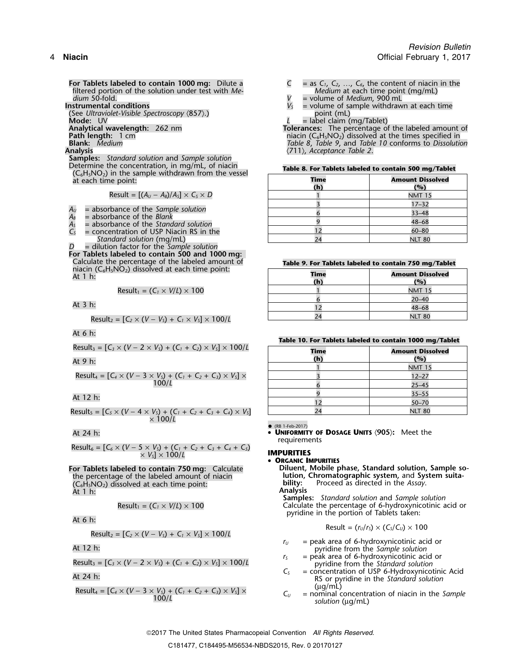**For Tablets labeled to contain 1000 mg:** Dilute a  $C = \text{as } C_1, C_2, \ldots, C_6$ , the content of niacin in the filtered portion of the solution under test with  $Me$ filtered portion of the solution under test with *Me- dium* 50-fold. *dium* 50-fold. **a** *dium* 50-fold. *V* **= volume of** *Medium***, 900 mL <b>Instrumental conditions**  $V_s$  = volume of sample withdraw

(See *Ultraviolet-Visible Spectroscopy* (857).)<br>Mode: UV

**Samples:** *Standard solution* and *Sample solution* Determine the concentration, in mg/mL, of niacin **Table 8. For Tablets labeled to contain 500 mg/Tablet** (C6H5NO2) in the sample withdrawn from the vessel  $at$  each time point:

 $Result = [(A<sub>U</sub> - A<sub>B</sub>)/A<sub>S</sub>] \times C<sub>S</sub> \times D$ 

- $A_U$  = absorbance of the *Sample solution*<br> $A_B$  = absorbance of the *Blank*
- 
- $A<sub>S</sub>$  = absorbance of the *Standard solution*
- $C_{S}$  = concentration of USP Niacin RS in the
- *Standard solution* (mg/mL)

*D* = dilution factor for the *Sample solution* **For Tablets labeled to contain 500 and 1000 mg:**<br>Calculate the percentage of the labeled amount of Calculate the percentage of the labeled amount of **Table 9. For Tablets labeled to contain 750 mg/Tablet**<br>niacin (C<sub>6</sub>H<sub>5</sub>NO<sub>2</sub>) dissolved at each time point: **Time At 1 and 1 Amount Dissolved** 

At 
$$
1 \, \text{h}
$$
:

$$
Result_1 = (C_1 \times V/L) \times 100
$$

$$
Result_2 = [C_2 \times (V - V_3) + C_1 \times V_3] \times 100/L
$$
 24

At 6 h:

Result<sub>3</sub> = 
$$
[C_3 \times (V - 2 \times V_5) + (C_1 + C_2) \times V_5] \times 100/l
$$

$$
Result_4 = [C_4 \times (V - 3 \times V_3) + (C_1 + C_2 + C_3) \times V_3] \times \frac{3}{6}
$$

$$
Result_5 = [C_5 \times (V - 4 \times V_5) + (C_1 + C_2 + C_3 + C_4) \times V_5]
$$
  
 
$$
\times 100/L
$$
 NLT 80

$$
Result_6 = [C_6 \times (V - 5 \times V_5) + (C_1 + C_2 + C_3 + C_4 + C_5) \times V_5] \times 100/L
$$

# the percentage of the labeled amount of niacin **lution, Chromatographic system,** and System suita-<br>(C<sub>6</sub>H,NO<sub>2</sub>) dissolved at each time point: **bility:** Proceed as directed in the Assay. (C **bility:** Proceed as directed in the *Assay*. <sup>6</sup>H5NO2) dissolved at each time point: At 1 h: **Analysis**

$$
Result_1 = (C_1 \times V/L) \times 100
$$

Result<sub>2</sub> = 
$$
[C_2 \times (V - V_5) + C_1 \times V_5] \times 100/L
$$

$$
Result_3 = [C_3 \times (V - 2 \times V_5) + (C_1 + C_2) \times V_5] \times 100/L
$$

Result<sub>4</sub> =  $[C_4 \times (V - 3 \times V_5) + (C_1 + C_2 + C_3) \times V_5] \times$ <br>100/L<br>Total C<sub>U</sub> = nominal concentration of niacin in the Sample<br>solution (µg/mL)

- 
- 
- = volume of sample withdrawn at each time point (mL)
- 

**Mode:** UV<br> **Analytical wavelength:** 262 nm<br> **Path length:** 1 cm<br> **Path length:** 1 cm<br> **Path length:** 1 cm **Analytical wavelength:** 262 nm **Tolerances:** The percentage of the labeled amount of **Path length:** 1 cm niacin (C6H5NO2) dissolved at the times specified in **Blank:** *Medium Table 8*, *Table 9*, and *Table 10* conforms to *Dissolution* **Analysis** 〈711〉, *Acceptance Table 2*.

| Time<br>(h)    | <b>Amount Dissolved</b><br>(%) |  |  |
|----------------|--------------------------------|--|--|
|                | <b>NMT 15</b>                  |  |  |
|                | $17 - 32$                      |  |  |
|                | $33 - 48$                      |  |  |
|                | $48 - 68$                      |  |  |
| $\overline{2}$ | $60 - 80$                      |  |  |
| ۵4             | <b>NLT 80</b>                  |  |  |

| $n$ acin ( $C_6H_5NO_2$ ) dissolved at each time point:<br>At 1 h:           | Time<br>(h) | <b>Amount Dissolved</b><br>(%) |  |
|------------------------------------------------------------------------------|-------------|--------------------------------|--|
| Result <sub>1</sub> = $(C_1 \times V/L) \times 100$                          |             | <b>NMT 15</b>                  |  |
|                                                                              |             | $20 - 40$                      |  |
| At 3 h:                                                                      |             | $48 - 68$                      |  |
| Result <sub>a</sub> = $[C_2 \times (V - V_1) + C_2 \times V_2] \times 100/1$ | 24          | <b>NLT 80</b>                  |  |

|  |  |  |  |  | Table 10. For Tablets labeled to contain 1000 mg/Tablet |  |
|--|--|--|--|--|---------------------------------------------------------|--|
|--|--|--|--|--|---------------------------------------------------------|--|

| Result <sub>3</sub> = $[C_3 \times (V - 2 \times V_5) + (C_1 + C_2) \times V_5] \times 100/L$                                                               | <b>Time</b> | <b>Amount Dissolved</b> |
|-------------------------------------------------------------------------------------------------------------------------------------------------------------|-------------|-------------------------|
| At 9 h:                                                                                                                                                     | (h)         | (%)                     |
|                                                                                                                                                             |             | <b>NMT 15</b>           |
| Result <sub>4</sub> = $[C_4 \times (V - 3 \times V_5) + (C_1 + C_2 + C_3) \times V_5] \times$                                                               |             | $12 - 27$               |
| 100/L                                                                                                                                                       |             | $25 - 45$               |
| At 12 h:                                                                                                                                                    |             | $35 - 55$               |
|                                                                                                                                                             |             | $50 - 70$               |
| Result <sub>s</sub> = [C <sub>s</sub> × (V – 4 × V <sub>s</sub> ) + (C <sub>1</sub> + C <sub>2</sub> + C <sub>3</sub> + C <sub>4</sub> ) × V <sub>s</sub> ] | 24          | <b>NLT 80</b>           |

•

 (RB 1-Feb-2017) At 24 h: • **UNIFORMITY OF DOSAGE UNITS** 〈**905**〉**:** Meet the requirements

### *<sup>V</sup>* **IMPURITIES** *<sup>S</sup>*] × 100/*<sup>L</sup>*

### • **ORGANIC IMPURITIES**

**For Tablets labeled to contain 750 mg:** Calculate **Diluent, Mobile phase, Standard solution, Sample so-**<br> **httion, Chromatographic system, and System suita-**<br> **httion, Chromatographic system, and System suita-**

**Samples:** *Standard solution* and *Sample solution* Calculate the percentage of 6-hydroxynicotinic acid or pyridine in the portion of Tablets taken:<br>At 6 h:

$$
Result = (r_U/r_S) \times (C_S/C_U) \times 100
$$

- *r*<sub>U</sub> = peak area of 6-hydroxynicotinic acid or <br>At 12 h: pyridine from the *Sample solution*<br>  $r_5$  = peak area of 6-hydroxynicotinic acid or
- Result<sub>3</sub> = [C<sub>3</sub> × (V 2 × V<sub>s</sub>) + (C<sub>1</sub> + C<sub>2</sub>) × V<sub>s</sub>] × 100/L  $r_s$  = peak area of 6-hydroxynicotinic acid or pyridine from the Standard solution
- *<sup>C</sup><sup>S</sup>* = concentration of USP 6-Hydroxynicotinic Acid At 24 h: RS or pyridine in the *Standard solution*
	-